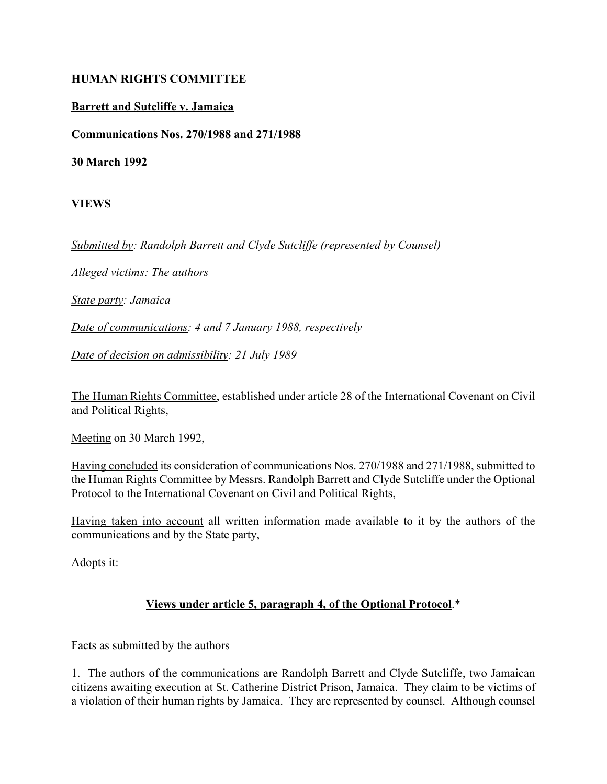#### **HUMAN RIGHTS COMMITTEE**

#### **Barrett and Sutcliffe v. Jamaica**

**Communications Nos. 270/1988 and 271/1988**

**30 March 1992**

**VIEWS**

*Submitted by: Randolph Barrett and Clyde Sutcliffe (represented by Counsel)*

*Alleged victims: The authors*

*State party: Jamaica*

*Date of communications: 4 and 7 January 1988, respectively*

*Date of decision on admissibility: 21 July 1989*

The Human Rights Committee, established under article 28 of the International Covenant on Civil and Political Rights,

Meeting on 30 March 1992,

Having concluded its consideration of communications Nos. 270/1988 and 271/1988, submitted to the Human Rights Committee by Messrs. Randolph Barrett and Clyde Sutcliffe under the Optional Protocol to the International Covenant on Civil and Political Rights,

Having taken into account all written information made available to it by the authors of the communications and by the State party,

Adopts it:

## **Views under article 5, paragraph 4, of the Optional Protocol**.\*

#### Facts as submitted by the authors

1. The authors of the communications are Randolph Barrett and Clyde Sutcliffe, two Jamaican citizens awaiting execution at St. Catherine District Prison, Jamaica. They claim to be victims of a violation of their human rights by Jamaica. They are represented by counsel. Although counsel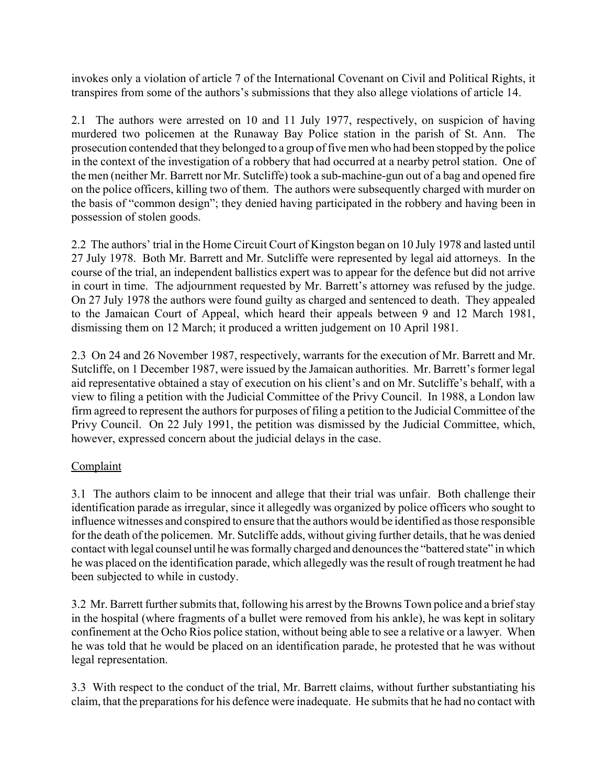invokes only a violation of article 7 of the International Covenant on Civil and Political Rights, it transpires from some of the authors's submissions that they also allege violations of article 14.

2.1 The authors were arrested on 10 and 11 July 1977, respectively, on suspicion of having murdered two policemen at the Runaway Bay Police station in the parish of St. Ann. The prosecution contended that they belonged to a group of five men who had been stopped by the police in the context of the investigation of a robbery that had occurred at a nearby petrol station. One of the men (neither Mr. Barrett nor Mr. Sutcliffe) took a sub-machine-gun out of a bag and opened fire on the police officers, killing two of them. The authors were subsequently charged with murder on the basis of "common design"; they denied having participated in the robbery and having been in possession of stolen goods.

2.2 The authors' trial in the Home Circuit Court of Kingston began on 10 July 1978 and lasted until 27 July 1978. Both Mr. Barrett and Mr. Sutcliffe were represented by legal aid attorneys. In the course of the trial, an independent ballistics expert was to appear for the defence but did not arrive in court in time. The adjournment requested by Mr. Barrett's attorney was refused by the judge. On 27 July 1978 the authors were found guilty as charged and sentenced to death. They appealed to the Jamaican Court of Appeal, which heard their appeals between 9 and 12 March 1981, dismissing them on 12 March; it produced a written judgement on 10 April 1981.

2.3 On 24 and 26 November 1987, respectively, warrants for the execution of Mr. Barrett and Mr. Sutcliffe, on 1 December 1987, were issued by the Jamaican authorities. Mr. Barrett's former legal aid representative obtained a stay of execution on his client's and on Mr. Sutcliffe's behalf, with a view to filing a petition with the Judicial Committee of the Privy Council. In 1988, a London law firm agreed to represent the authors for purposes of filing a petition to the Judicial Committee of the Privy Council. On 22 July 1991, the petition was dismissed by the Judicial Committee, which, however, expressed concern about the judicial delays in the case.

## **Complaint**

3.1 The authors claim to be innocent and allege that their trial was unfair. Both challenge their identification parade as irregular, since it allegedly was organized by police officers who sought to influence witnesses and conspired to ensure that the authors would be identified as those responsible for the death of the policemen. Mr. Sutcliffe adds, without giving further details, that he was denied contact with legal counsel until he was formally charged and denounces the "battered state" in which he was placed on the identification parade, which allegedly was the result of rough treatment he had been subjected to while in custody.

3.2 Mr. Barrett further submits that, following his arrest by the Browns Town police and a brief stay in the hospital (where fragments of a bullet were removed from his ankle), he was kept in solitary confinement at the Ocho Rios police station, without being able to see a relative or a lawyer. When he was told that he would be placed on an identification parade, he protested that he was without legal representation.

3.3 With respect to the conduct of the trial, Mr. Barrett claims, without further substantiating his claim, that the preparations for his defence were inadequate. He submits that he had no contact with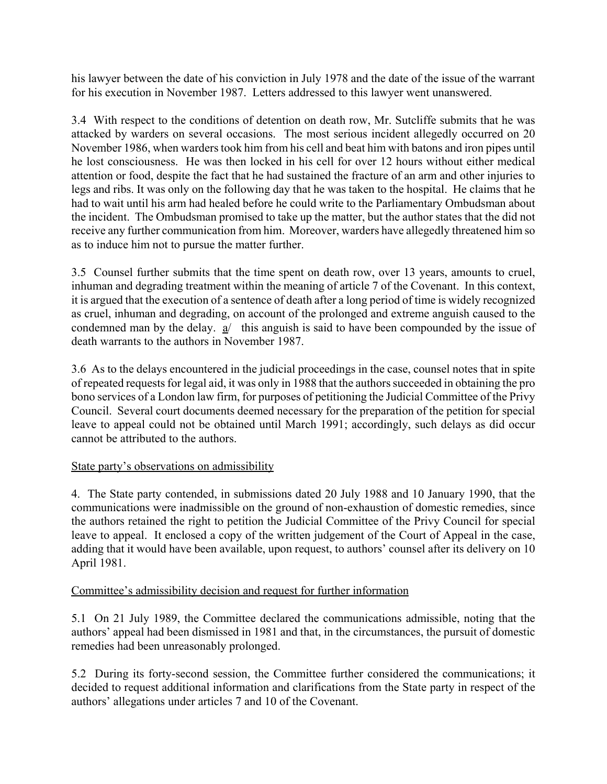his lawyer between the date of his conviction in July 1978 and the date of the issue of the warrant for his execution in November 1987. Letters addressed to this lawyer went unanswered.

3.4 With respect to the conditions of detention on death row, Mr. Sutcliffe submits that he was attacked by warders on several occasions. The most serious incident allegedly occurred on 20 November 1986, when warders took him from his cell and beat him with batons and iron pipes until he lost consciousness. He was then locked in his cell for over 12 hours without either medical attention or food, despite the fact that he had sustained the fracture of an arm and other injuries to legs and ribs. It was only on the following day that he was taken to the hospital. He claims that he had to wait until his arm had healed before he could write to the Parliamentary Ombudsman about the incident. The Ombudsman promised to take up the matter, but the author states that the did not receive any further communication from him. Moreover, warders have allegedly threatened him so as to induce him not to pursue the matter further.

3.5 Counsel further submits that the time spent on death row, over 13 years, amounts to cruel, inhuman and degrading treatment within the meaning of article 7 of the Covenant. In this context, it is argued that the execution of a sentence of death after a long period of time is widely recognized as cruel, inhuman and degrading, on account of the prolonged and extreme anguish caused to the condemned man by the delay. a/ this anguish is said to have been compounded by the issue of death warrants to the authors in November 1987.

3.6 As to the delays encountered in the judicial proceedings in the case, counsel notes that in spite of repeated requests for legal aid, it was only in 1988 that the authors succeeded in obtaining the pro bono services of a London law firm, for purposes of petitioning the Judicial Committee of the Privy Council. Several court documents deemed necessary for the preparation of the petition for special leave to appeal could not be obtained until March 1991; accordingly, such delays as did occur cannot be attributed to the authors.

## State party's observations on admissibility

4. The State party contended, in submissions dated 20 July 1988 and 10 January 1990, that the communications were inadmissible on the ground of non-exhaustion of domestic remedies, since the authors retained the right to petition the Judicial Committee of the Privy Council for special leave to appeal. It enclosed a copy of the written judgement of the Court of Appeal in the case, adding that it would have been available, upon request, to authors' counsel after its delivery on 10 April 1981.

## Committee's admissibility decision and request for further information

5.1 On 21 July 1989, the Committee declared the communications admissible, noting that the authors' appeal had been dismissed in 1981 and that, in the circumstances, the pursuit of domestic remedies had been unreasonably prolonged.

5.2 During its forty-second session, the Committee further considered the communications; it decided to request additional information and clarifications from the State party in respect of the authors' allegations under articles 7 and 10 of the Covenant.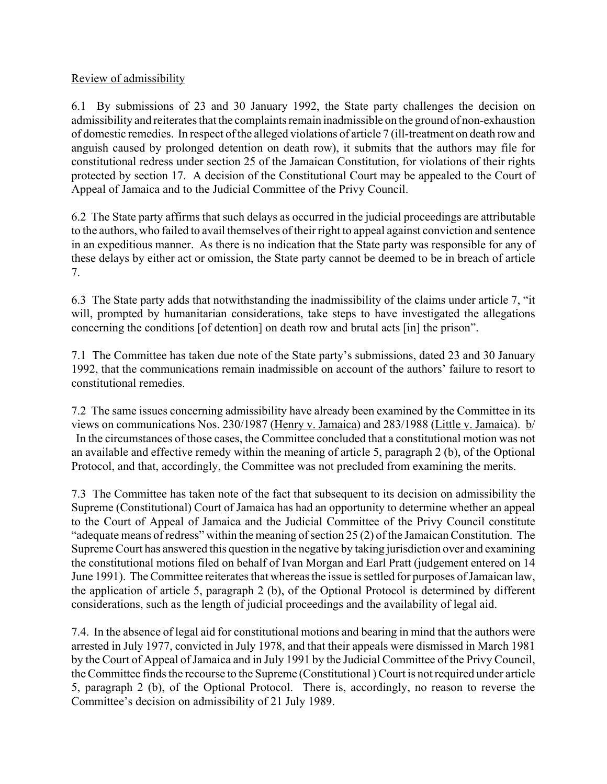## Review of admissibility

6.1 By submissions of 23 and 30 January 1992, the State party challenges the decision on admissibility and reiterates that the complaints remain inadmissible on the ground of non-exhaustion of domestic remedies. In respect of the alleged violations of article 7 (ill-treatment on death row and anguish caused by prolonged detention on death row), it submits that the authors may file for constitutional redress under section 25 of the Jamaican Constitution, for violations of their rights protected by section 17. A decision of the Constitutional Court may be appealed to the Court of Appeal of Jamaica and to the Judicial Committee of the Privy Council.

6.2 The State party affirms that such delays as occurred in the judicial proceedings are attributable to the authors, who failed to avail themselves of their right to appeal against conviction and sentence in an expeditious manner. As there is no indication that the State party was responsible for any of these delays by either act or omission, the State party cannot be deemed to be in breach of article 7.

6.3 The State party adds that notwithstanding the inadmissibility of the claims under article 7, "it" will, prompted by humanitarian considerations, take steps to have investigated the allegations concerning the conditions [of detention] on death row and brutal acts [in] the prison".

7.1 The Committee has taken due note of the State party's submissions, dated 23 and 30 January 1992, that the communications remain inadmissible on account of the authors' failure to resort to constitutional remedies.

7.2 The same issues concerning admissibility have already been examined by the Committee in its views on communications Nos. 230/1987 (Henry v. Jamaica) and 283/1988 (Little v. Jamaica). b/ In the circumstances of those cases, the Committee concluded that a constitutional motion was not an available and effective remedy within the meaning of article 5, paragraph 2 (b), of the Optional Protocol, and that, accordingly, the Committee was not precluded from examining the merits.

7.3 The Committee has taken note of the fact that subsequent to its decision on admissibility the Supreme (Constitutional) Court of Jamaica has had an opportunity to determine whether an appeal to the Court of Appeal of Jamaica and the Judicial Committee of the Privy Council constitute  $\degree$ adequate means of redress $\degree$  within the meaning of section 25 (2) of the Jamaican Constitution. The Supreme Court has answered this question in the negative by taking jurisdiction over and examining the constitutional motions filed on behalf of Ivan Morgan and Earl Pratt (judgement entered on 14 June 1991). The Committee reiterates that whereas the issue is settled for purposes of Jamaican law, the application of article 5, paragraph 2 (b), of the Optional Protocol is determined by different considerations, such as the length of judicial proceedings and the availability of legal aid.

7.4. In the absence of legal aid for constitutional motions and bearing in mind that the authors were arrested in July 1977, convicted in July 1978, and that their appeals were dismissed in March 1981 by the Court of Appeal of Jamaica and in July 1991 by the Judicial Committee of the Privy Council, the Committee finds the recourse to the Supreme (Constitutional ) Court is not required under article 5, paragraph 2 (b), of the Optional Protocol. There is, accordingly, no reason to reverse the Committee's decision on admissibility of 21 July 1989.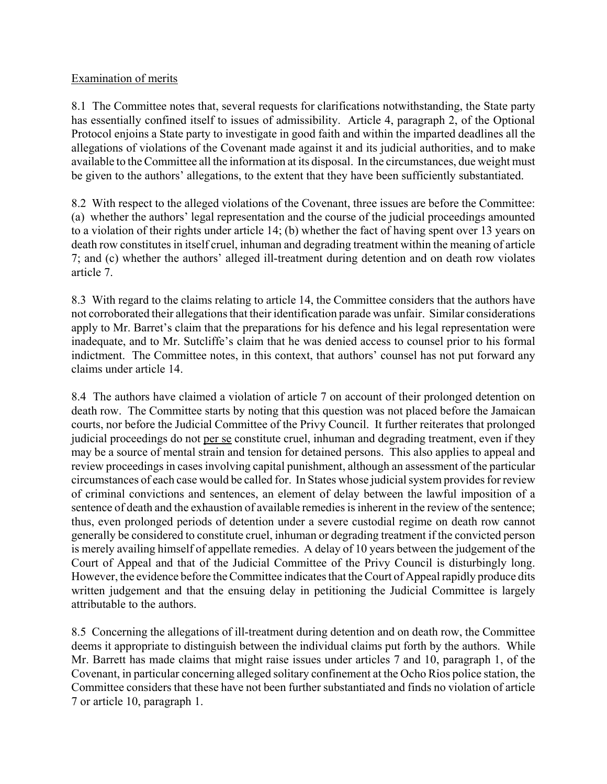#### Examination of merits

8.1 The Committee notes that, several requests for clarifications notwithstanding, the State party has essentially confined itself to issues of admissibility. Article 4, paragraph 2, of the Optional Protocol enjoins a State party to investigate in good faith and within the imparted deadlines all the allegations of violations of the Covenant made against it and its judicial authorities, and to make available to the Committee all the information at its disposal. In the circumstances, due weight must be given to the authors' allegations, to the extent that they have been sufficiently substantiated.

8.2 With respect to the alleged violations of the Covenant, three issues are before the Committee: (a) whether the authors' legal representation and the course of the judicial proceedings amounted to a violation of their rights under article 14; (b) whether the fact of having spent over 13 years on death row constitutes in itself cruel, inhuman and degrading treatment within the meaning of article 7; and  $(c)$  whether the authors' alleged ill-treatment during detention and on death row violates article 7.

8.3 With regard to the claims relating to article 14, the Committee considers that the authors have not corroborated their allegations that their identification parade was unfair. Similar considerations apply to Mr. Barret's claim that the preparations for his defence and his legal representation were inadequate, and to Mr. Sutcliffe's claim that he was denied access to counsel prior to his formal indictment. The Committee notes, in this context, that authors' counsel has not put forward any claims under article 14.

8.4 The authors have claimed a violation of article 7 on account of their prolonged detention on death row. The Committee starts by noting that this question was not placed before the Jamaican courts, nor before the Judicial Committee of the Privy Council. It further reiterates that prolonged judicial proceedings do not per se constitute cruel, inhuman and degrading treatment, even if they may be a source of mental strain and tension for detained persons. This also applies to appeal and review proceedings in cases involving capital punishment, although an assessment of the particular circumstances of each case would be called for. In States whose judicial system provides for review of criminal convictions and sentences, an element of delay between the lawful imposition of a sentence of death and the exhaustion of available remedies is inherent in the review of the sentence; thus, even prolonged periods of detention under a severe custodial regime on death row cannot generally be considered to constitute cruel, inhuman or degrading treatment if the convicted person is merely availing himself of appellate remedies. A delay of 10 years between the judgement of the Court of Appeal and that of the Judicial Committee of the Privy Council is disturbingly long. However, the evidence before the Committee indicates that the Court of Appeal rapidly produce dits written judgement and that the ensuing delay in petitioning the Judicial Committee is largely attributable to the authors.

8.5 Concerning the allegations of ill-treatment during detention and on death row, the Committee deems it appropriate to distinguish between the individual claims put forth by the authors. While Mr. Barrett has made claims that might raise issues under articles 7 and 10, paragraph 1, of the Covenant, in particular concerning alleged solitary confinement at the Ocho Rios police station, the Committee considers that these have not been further substantiated and finds no violation of article 7 or article 10, paragraph 1.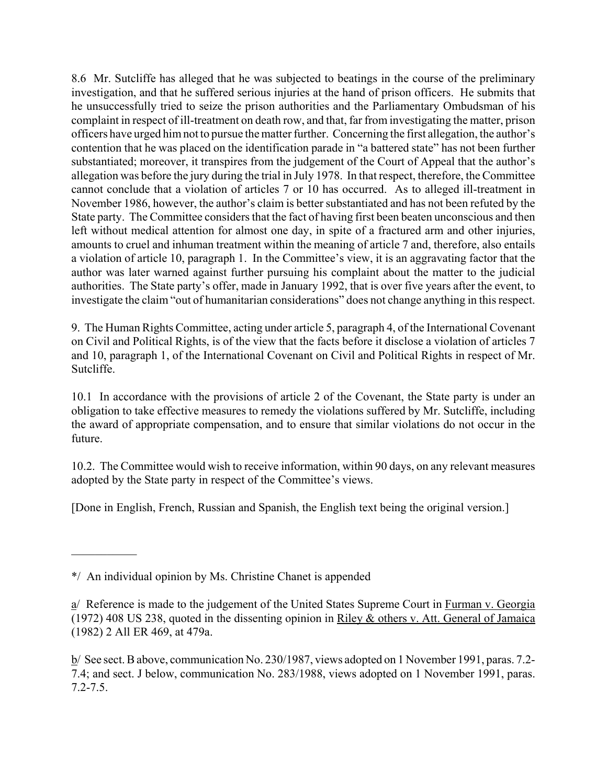8.6 Mr. Sutcliffe has alleged that he was subjected to beatings in the course of the preliminary investigation, and that he suffered serious injuries at the hand of prison officers. He submits that he unsuccessfully tried to seize the prison authorities and the Parliamentary Ombudsman of his complaint in respect of ill-treatment on death row, and that, far from investigating the matter, prison officers have urged him not to pursue the matter further. Concerning the first allegation, the author's contention that he was placed on the identification parade in "a battered state" has not been further substantiated; moreover, it transpires from the judgement of the Court of Appeal that the author's allegation was before the jury during the trial in July 1978. In that respect, therefore, the Committee cannot conclude that a violation of articles 7 or 10 has occurred. As to alleged ill-treatment in November 1986, however, the author's claim is better substantiated and has not been refuted by the State party. The Committee considers that the fact of having first been beaten unconscious and then left without medical attention for almost one day, in spite of a fractured arm and other injuries, amounts to cruel and inhuman treatment within the meaning of article 7 and, therefore, also entails a violation of article 10, paragraph 1. In the Committee's view, it is an aggravating factor that the author was later warned against further pursuing his complaint about the matter to the judicial authorities. The State party's offer, made in January 1992, that is over five years after the event, to investigate the claim "out of humanitarian considerations" does not change anything in this respect.

9. The Human Rights Committee, acting under article 5, paragraph 4, of the International Covenant on Civil and Political Rights, is of the view that the facts before it disclose a violation of articles 7 and 10, paragraph 1, of the International Covenant on Civil and Political Rights in respect of Mr. Sutcliffe.

10.1 In accordance with the provisions of article 2 of the Covenant, the State party is under an obligation to take effective measures to remedy the violations suffered by Mr. Sutcliffe, including the award of appropriate compensation, and to ensure that similar violations do not occur in the future.

10.2. The Committee would wish to receive information, within 90 days, on any relevant measures adopted by the State party in respect of the Committee's views.

[Done in English, French, Russian and Spanish, the English text being the original version.]

 $\mathcal{L}_\text{max}$ 

<sup>\*/</sup> An individual opinion by Ms. Christine Chanet is appended

a/ Reference is made to the judgement of the United States Supreme Court in Furman v. Georgia (1972) 408 US 238, quoted in the dissenting opinion in Riley & others v. Att. General of Jamaica (1982) 2 All ER 469, at 479a.

b/ See sect. B above, communication No. 230/1987, views adopted on 1 November 1991, paras. 7.2- 7.4; and sect. J below, communication No. 283/1988, views adopted on 1 November 1991, paras. 7.2-7.5.